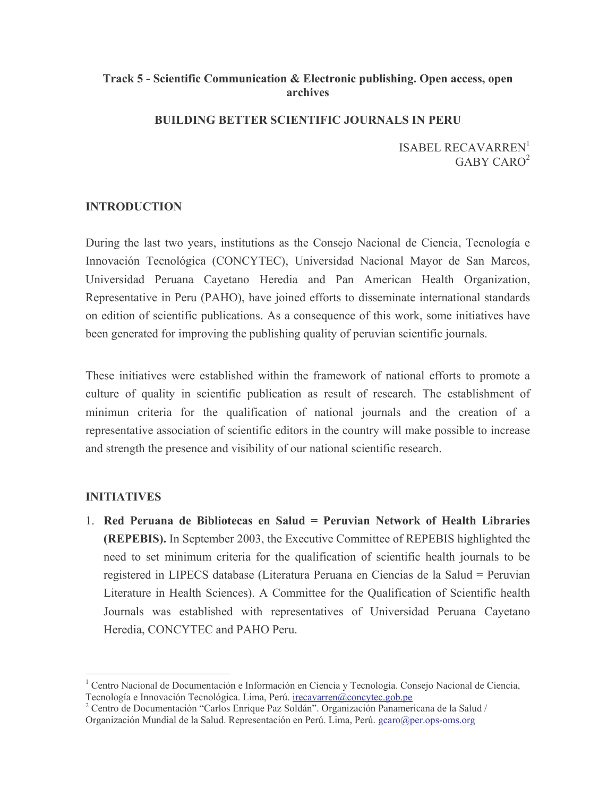## Track 5 - Scientific Communication & Electronic publishing. Open access, open archives

#### **BUILDING BETTER SCIENTIFIC JOURNALS IN PERU**

**ISABEL RECAVARREN**<sup>1</sup>  $GABY CARO<sup>2</sup>$ 

## **INTRODUCTION**

During the last two years, institutions as the Consejo Nacional de Ciencia, Tecnología e Innovación Tecnológica (CONCYTEC), Universidad Nacional Mayor de San Marcos, Universidad Peruana Cayetano Heredia and Pan American Health Organization, Representative in Peru (PAHO), have joined efforts to disseminate international standards on edition of scientific publications. As a consequence of this work, some initiatives have been generated for improving the publishing quality of peruvian scientific journals.

These initiatives were established within the framework of national efforts to promote a culture of quality in scientific publication as result of research. The establishment of minimun criteria for the qualification of national journals and the creation of a representative association of scientific editors in the country will make possible to increase and strength the presence and visibility of our national scientific research.

### **INITIATIVES**

1. Red Peruana de Bibliotecas en Salud = Peruvian Network of Health Libraries **(REPEBIS).** In September 2003, the Executive Committee of REPEBIS highlighted the need to set minimum criteria for the qualification of scientific health journals to be registered in LIPECS database (Literatura Peruana en Ciencias de la Salud = Peruvian Literature in Health Sciences). A Committee for the Qualification of Scientific health Journals was established with representatives of Universidad Peruana Cayetano Heredia, CONCYTEC and PAHO Peru.

<sup>&</sup>lt;sup>1</sup> Centro Nacional de Documentación e Información en Ciencia y Tecnología. Consejo Nacional de Ciencia, Tecnología e Innovación Tecnológica. Lima, Perú. irecavarren@concytec.gob.pe

<sup>&</sup>lt;sup>2</sup> Centro de Documentación "Carlos Enrique Paz Soldán". Organización Panamericana de la Salud / Organización Mundial de la Salud. Representación en Perú. Lima, Perú. gcaro@per.ops-oms.org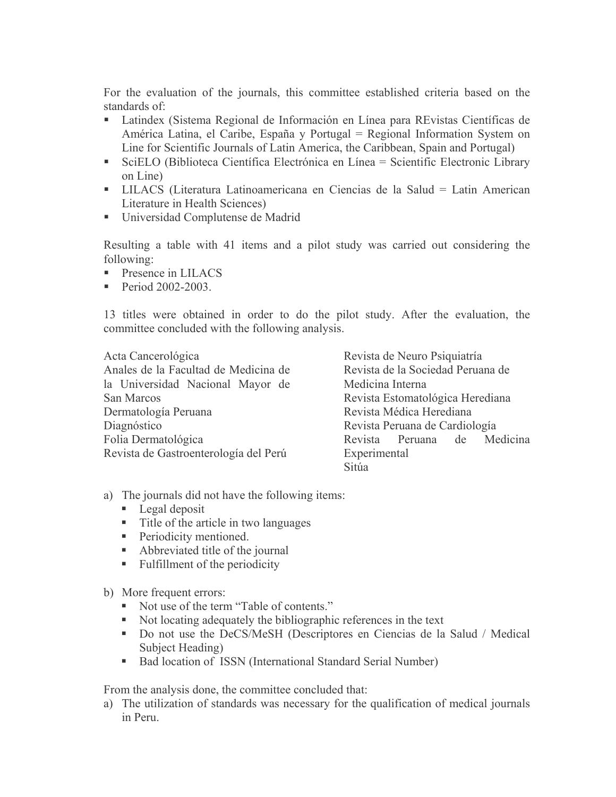For the evaluation of the journals, this committee established criteria based on the standards of:

- Latindex (Sistema Regional de Información en Línea para REvistas Científicas de América Latina, el Caribe, España y Portugal = Regional Information System on Line for Scientific Journals of Latin America, the Caribbean, Spain and Portugal)
- SciELO (Biblioteca Científica Electrónica en Línea = Scientífic Electronic Library  $\mathbf{R}^{\text{max}}$ on Line
- LILACS (Literatura Latinoamericana en Ciencias de la Salud = Latin American Literature in Health Sciences)
- Universidad Complutense de Madrid

Resulting a table with 41 items and a pilot study was carried out considering the following:

- $\blacksquare$  Presence in LILACS
- Period  $2002 2003$ .

13 titles were obtained in order to do the pilot study. After the evaluation, the committee concluded with the following analysis.

Acta Cancerológica Anales de la Facultad de Medicina de la Universidad Nacional Mayor de San Marcos Dermatología Peruana Diagnóstico Folia Dermatológica Revista de Gastroenterología del Perú

Revista de Neuro Psiquiatría Revista de la Sociedad Peruana de Medicina Interna Revista Estomatológica Herediana Revista Médica Herediana Revista Peruana de Cardiología Revista Peruana de Medicina Experimental Sitúa

- a) The journals did not have the following items:
	- $\blacksquare$  Legal deposit
	- Title of the article in two languages
	- Periodicity mentioned.
	- Abbreviated title of the journal
	- Fulfillment of the periodicity

b) More frequent errors:

- Not use of the term "Table of contents."
- Not locating adequately the bibliographic references in the text
- Do not use the DeCS/MeSH (Descriptores en Ciencias de la Salud / Medical Subject Heading)
- Bad location of ISSN (International Standard Serial Number)

From the analysis done, the committee concluded that:

a) The utilization of standards was necessary for the qualification of medical journals in Peru.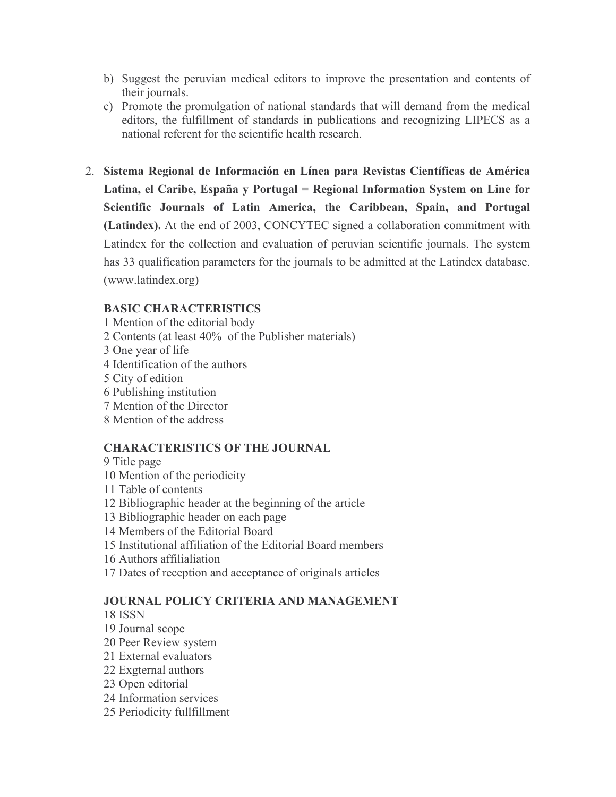- b) Suggest the peruvian medical editors to improve the presentation and contents of their journals.
- c) Promote the promulgation of national standards that will demand from the medical editors, the fulfillment of standards in publications and recognizing LIPECS as a national referent for the scientific health research.
- 2. Sistema Regional de Información en Línea para Revistas Científicas de América Latina, el Caribe, España y Portugal = Regional Information System on Line for Scientific Journals of Latin America, the Caribbean, Spain, and Portugal (Latindex). At the end of 2003, CONCYTEC signed a collaboration commitment with Latindex for the collection and evaluation of peruvian scientific journals. The system has 33 qualification parameters for the journals to be admitted at the Latindex database. (www.latindex.org)

## **BASIC CHARACTERISTICS**

- 1 Mention of the editorial body
- 2 Contents (at least 40% of the Publisher materials)
- 3 One year of life
- 4 Identification of the authors
- 5 City of edition
- 6 Publishing institution
- 7 Mention of the Director
- 8 Mention of the address

### **CHARACTERISTICS OF THE JOURNAL**

- 9 Title page
- 10 Mention of the periodicity
- 11 Table of contents
- 12 Bibliographic header at the beginning of the article
- 13 Bibliographic header on each page
- 14 Members of the Editorial Board
- 15 Institutional affiliation of the Editorial Board members
- 16 Authors affilialiation
- 17 Dates of reception and acceptance of originals articles

## **JOURNAL POLICY CRITERIA AND MANAGEMENT**

- **18 ISSN**
- 19 Journal scope
- 20 Peer Review system
- 21 External evaluators
- 22 Exgternal authors
- 23 Open editorial
- 24 Information services
- 25 Periodicity fullfillment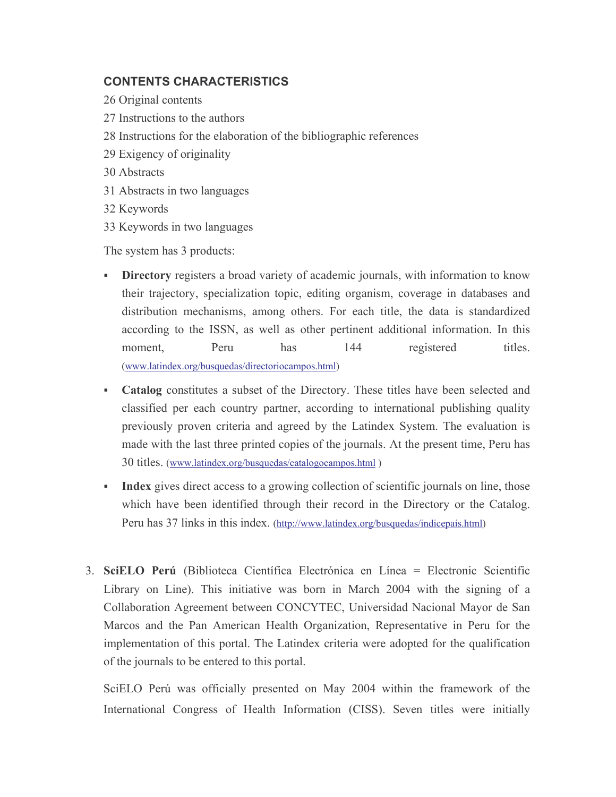# **CONTENTS CHARACTERISTICS**

- 26 Original contents
- 27 Instructions to the authors
- 28 Instructions for the elaboration of the bibliographic references
- 29 Exigency of originality
- 30 Abstracts
- 31 Abstracts in two languages
- 32 Keywords
- 33 Keywords in two languages

The system has 3 products:

- Directory registers a broad variety of academic journals, with information to know their trajectory, specialization topic, editing organism, coverage in databases and distribution mechanisms, among others. For each title, the data is standardized according to the ISSN, as well as other pertinent additional information. In this moment. Peru has 144 registered titles. (www.latindex.org/busquedas/directoriocampos.html)
- Catalog constitutes a subset of the Directory. These titles have been selected and classified per each country partner, according to international publishing quality previously proven criteria and agreed by the Latindex System. The evaluation is made with the last three printed copies of the journals. At the present time, Peru has 30 titles. (www.latindex.org/busquedas/catalogocampos.html)
- Index gives direct access to a growing collection of scientific journals on line, those a co which have been identified through their record in the Directory or the Catalog. Peru has 37 links in this index. (http://www.latindex.org/busquedas/indicepais.html)
- 3. SciELO Perú (Biblioteca Científica Electrónica en Línea = Electronic Scientífic Library on Line). This initiative was born in March 2004 with the signing of a Collaboration Agreement between CONCYTEC, Universidad Nacional Mayor de San Marcos and the Pan American Health Organization, Representative in Peru for the implementation of this portal. The Latindex criteria were adopted for the qualification of the journals to be entered to this portal.

SciELO Perú was officially presented on May 2004 within the framework of the International Congress of Health Information (CISS). Seven titles were initially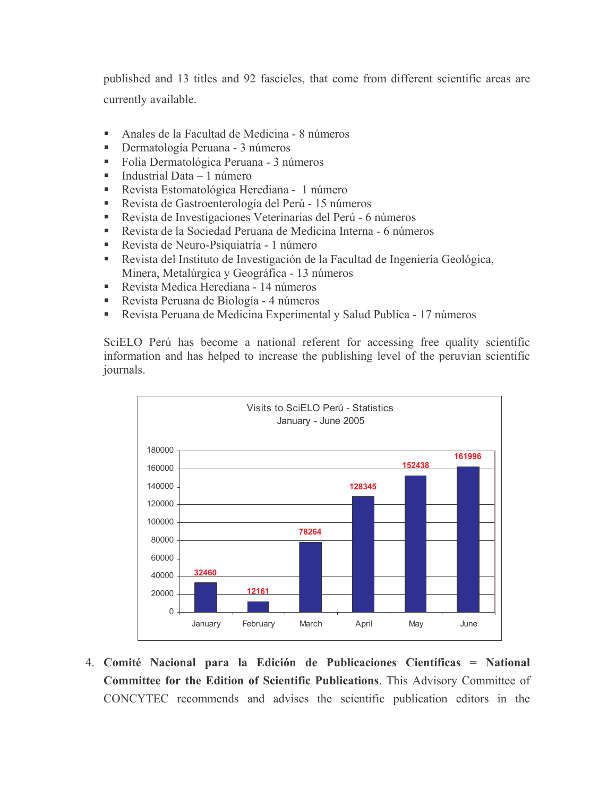published and 13 titles and 92 fascicles, that come from different scientific areas are currently available.

- Anales de la Facultad de Medicina 8 números  $\blacksquare$
- Dermatología Peruana 3 números  $\blacksquare$
- Folia Dermatológica Peruana 3 números  $\mathbf{u}$  .
- Industrial Data 1 número  $\mathbf{m} = 0$
- Revista Estomatológica Herediana 1 número
- $\mathbf{u}$  . Revista de Gastroenterología del Perú - 15 números
- Revista de Investigaciones Veterinarias del Perú 6 números a.
- a. Revista de la Sociedad Peruana de Medicina Interna - 6 números
- Revista de Neuro-Psiquiatría 1 número
- Revista del Instituto de Investigación de la Facultad de Ingeniería Geológica, Minera, Metalúrgica y Geográfica - 13 números
- Revista Medica Herediana 14 números
- Revista Peruana de Biología 4 números  $\mathbf{m}$
- Revista Peruana de Medicina Experimental y Salud Publica 17 números  $\blacksquare$

SciELO Perú has become a national referent for accessing free quality scientific information and has helped to increase the publishing level of the peruvian scientific journals.



4. Comité Nacional para la Edición de Publicaciones Científicas = National Committee for the Edition of Scientific Publications. This Advisory Committee of CONCYTEC recommends and advises the scientific publication editors in the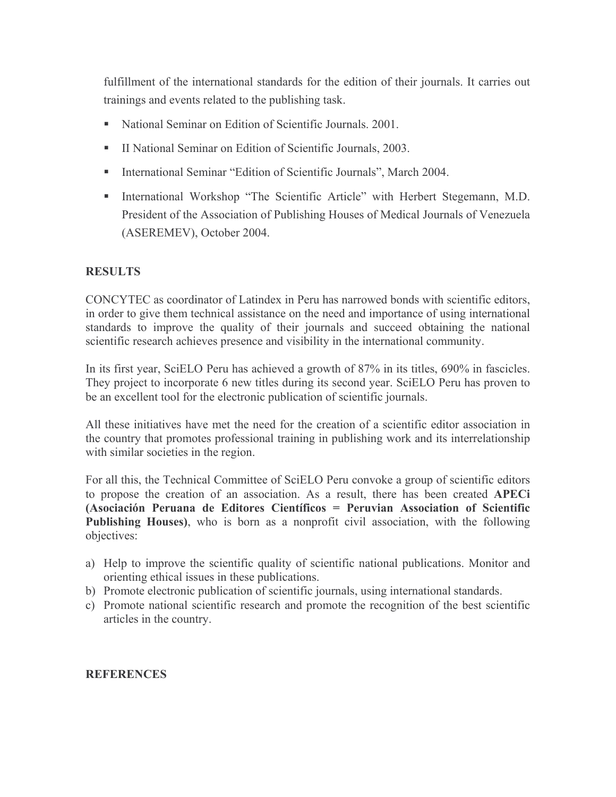fulfillment of the international standards for the edition of their journals. It carries out trainings and events related to the publishing task.

- National Seminar on Edition of Scientific Journals, 2001.  $\mathbf{R}^{\text{max}}$
- II National Seminar on Edition of Scientific Journals, 2003.
- International Seminar "Edition of Scientific Journals", March 2004.
- International Workshop "The Scientific Article" with Herbert Stegemann, M.D. President of the Association of Publishing Houses of Medical Journals of Venezuela (ASEREMEV), October 2004.

### **RESULTS**

CONCYTEC as coordinator of Latindex in Peru has narrowed bonds with scientific editors, in order to give them technical assistance on the need and importance of using international standards to improve the quality of their journals and succeed obtaining the national scientific research achieves presence and visibility in the international community.

In its first year, SciELO Peru has achieved a growth of 87% in its titles, 690% in fascicles. They project to incorporate 6 new titles during its second year. SciELO Peru has proven to be an excellent tool for the electronic publication of scientific journals.

All these initiatives have met the need for the creation of a scientific editor association in the country that promotes professional training in publishing work and its interrelationship with similar societies in the region.

For all this, the Technical Committee of SciELO Peru convoke a group of scientific editors to propose the creation of an association. As a result, there has been created APECi (Asociación Peruana de Editores Científicos = Peruvian Association of Scientific **Publishing Houses)**, who is born as a nonprofit civil association, with the following objectives:

- a) Help to improve the scientific quality of scientific national publications. Monitor and orienting ethical issues in these publications.
- b) Promote electronic publication of scientific journals, using international standards.
- c) Promote national scientific research and promote the recognition of the best scientific articles in the country.

#### **REFERENCES**